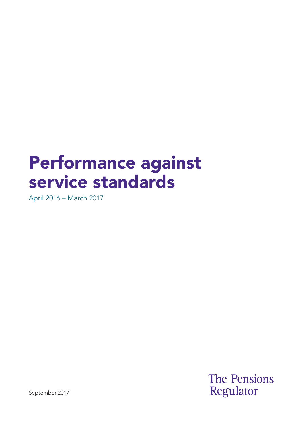# Performance against service standards

April 2016 – March 2017

**The Pensions** Regulator

September 2017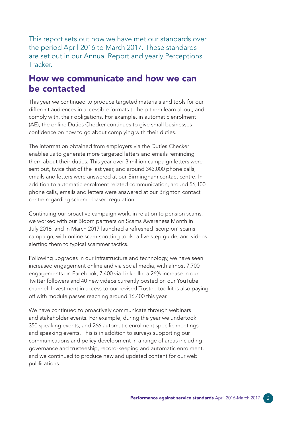This report sets out how we have met our standards over the period April 2016 to March 2017. These standards are set out in our Annual Report and yearly Perceptions **Tracker** 

#### How we communicate and how we can be contacted

This year we continued to produce targeted materials and tools for our different audiences in accessible formats to help them learn about, and comply with, their obligations. For example, in automatic enrolment (AE), the online Duties Checker continues to give small businesses confidence on how to go about complying with their duties.

The information obtained from employers via the Duties Checker enables us to generate more targeted letters and emails reminding them about their duties. This year over 3 million campaign letters were sent out, twice that of the last year, and around 343,000 phone calls, emails and letters were answered at our Birmingham contact centre. In addition to automatic enrolment related communication, around 56,100 phone calls, emails and letters were answered at our Brighton contact centre regarding scheme-based regulation.

Continuing our proactive campaign work, in relation to pension scams, we worked with our Bloom partners on Scams Awareness Month in July 2016, and in March 2017 launched a refreshed 'scorpion' scams campaign, with online scam-spotting tools, a five step guide, and videos alerting them to typical scammer tactics.

Following upgrades in our infrastructure and technology, we have seen increased engagement online and via social media, with almost 7,700 engagements on Facebook, 7,400 via LinkedIn, a 26% increase in our Twitter followers and 40 new videos currently posted on our YouTube channel. Investment in access to our revised Trustee toolkit is also paying off with module passes reaching around 16,400 this year.

We have continued to proactively communicate through webinars and stakeholder events. For example, during the year we undertook 350 speaking events, and 266 automatic enrolment specific meetings and speaking events. This is in addition to surveys supporting our communications and policy development in a range of areas including governance and trusteeship, record-keeping and automatic enrolment, and we continued to produce new and updated content for our web publications.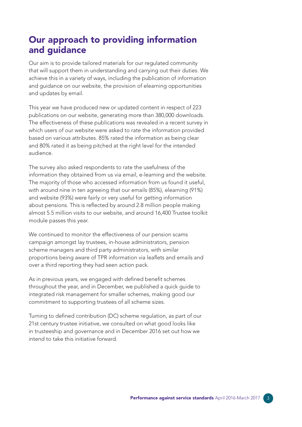## Our approach to providing information and guidance

Our aim is to provide tailored materials for our regulated community that will support them in understanding and carrying out their duties. We achieve this in a variety of ways, including the publication of information and guidance on our website, the provision of elearning opportunities and updates by email.

This year we have produced new or updated content in respect of 223 publications on our website, generating more than 380,000 downloads. The effectiveness of these publications was revealed in a recent survey in which users of our website were asked to rate the information provided based on various attributes. 85% rated the information as being clear and 80% rated it as being pitched at the right level for the intended audience.

The survey also asked respondents to rate the usefulness of the information they obtained from us via email, e-learning and the website. The majority of those who accessed information from us found it useful, with around nine in ten agreeing that our emails (85%), elearning (91%) and website (93%) were fairly or very useful for getting information about pensions. This is reflected by around 2.8 million people making almost 5.5 million visits to our website, and around 16,400 Trustee toolkit module passes this year.

We continued to monitor the effectiveness of our pension scams campaign amongst lay trustees, in-house administrators, pension scheme managers and third party administrators, with similar proportions being aware of TPR information via leaflets and emails and over a third reporting they had seen action pack.

As in previous years, we engaged with defined benefit schemes throughout the year, and in December, we published a quick guide to integrated risk management for smaller schemes, making good our commitment to supporting trustees of all scheme sizes.

Turning to defined contribution (DC) scheme regulation, as part of our 21st century trustee initiative, we consulted on what good looks like in trusteeship and governance and in December 2016 set out how we intend to take this initiative forward.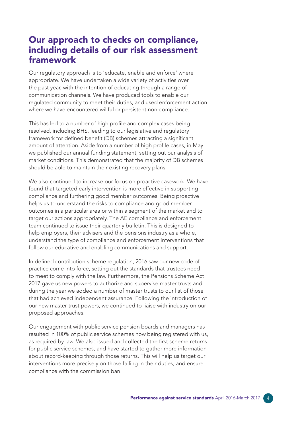### Our approach to checks on compliance, including details of our risk assessment framework

Our regulatory approach is to 'educate, enable and enforce' where appropriate. We have undertaken a wide variety of activities over the past year, with the intention of educating through a range of communication channels. We have produced tools to enable our regulated community to meet their duties, and used enforcement action where we have encountered willful or persistent non-compliance.

This has led to a number of high profile and complex cases being resolved, including BHS, leading to our legislative and regulatory framework for defined benefit (DB) schemes attracting a significant amount of attention. Aside from a number of high profile cases, in May we published our annual funding statement, setting out our analysis of market conditions. This demonstrated that the majority of DB schemes should be able to maintain their existing recovery plans.

We also continued to increase our focus on proactive casework. We have found that targeted early intervention is more effective in supporting compliance and furthering good member outcomes. Being proactive helps us to understand the risks to compliance and good member outcomes in a particular area or within a segment of the market and to target our actions appropriately. The AE compliance and enforcement team continued to issue their quarterly bulletin. This is designed to help employers, their advisers and the pensions industry as a whole, understand the type of compliance and enforcement interventions that follow our educative and enabling communications and support.

In defined contribution scheme regulation, 2016 saw our new code of practice come into force, setting out the standards that trustees need to meet to comply with the law. Furthermore, the Pensions Scheme Act 2017 gave us new powers to authorize and supervise master trusts and during the year we added a number of master trusts to our list of those that had achieved independent assurance. Following the introduction of our new master trust powers, we continued to liaise with industry on our proposed approaches.

Our engagement with public service pension boards and managers has resulted in 100% of public service schemes now being registered with us, as required by law. We also issued and collected the first scheme returns for public service schemes, and have started to gather more information about record-keeping through those returns. This will help us target our interventions more precisely on those failing in their duties, and ensure compliance with the commission ban.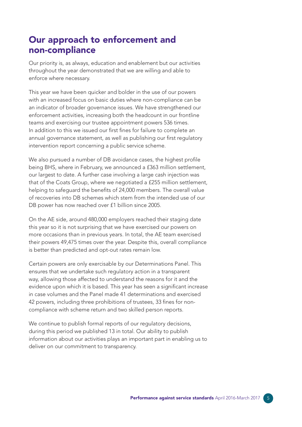### Our approach to enforcement and non-compliance

Our priority is, as always, education and enablement but our activities throughout the year demonstrated that we are willing and able to enforce where necessary.

This year we have been quicker and bolder in the use of our powers with an increased focus on basic duties where non-compliance can be an indicator of broader governance issues. We have strengthened our enforcement activities, increasing both the headcount in our frontline teams and exercising our trustee appointment powers 536 times. In addition to this we issued our first fines for failure to complete an annual governance statement, as well as publishing our first regulatory intervention report concerning a public service scheme.

We also pursued a number of DB avoidance cases, the highest profile being BHS, where in February, we announced a £363 million settlement, our largest to date. A further case involving a large cash injection was that of the Coats Group, where we negotiated a £255 million settlement, helping to safeguard the benefits of 24,000 members. The overall value of recoveries into DB schemes which stem from the intended use of our DB power has now reached over £1 billion since 2005.

On the AE side, around 480,000 employers reached their staging date this year so it is not surprising that we have exercised our powers on more occasions than in previous years. In total, the AE team exercised their powers 49,475 times over the year. Despite this, overall compliance is better than predicted and opt-out rates remain low.

Certain powers are only exercisable by our Determinations Panel. This ensures that we undertake such regulatory action in a transparent way, allowing those affected to understand the reasons for it and the evidence upon which it is based. This year has seen a significant increase in case volumes and the Panel made 41 determinations and exercised 42 powers, including three prohibitions of trustees, 33 fines for noncompliance with scheme return and two skilled person reports.

We continue to publish formal reports of our regulatory decisions, during this period we published 13 in total. Our ability to publish information about our activities plays an important part in enabling us to deliver on our commitment to transparency.